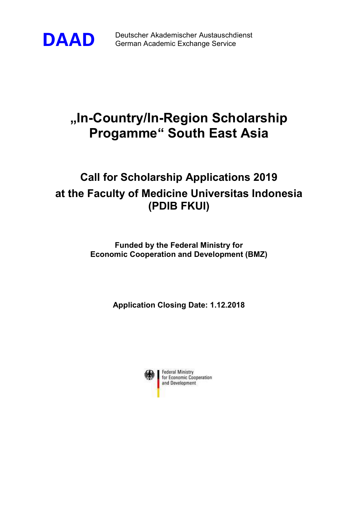

DAAD Deutscher Akademischer Austauschdienst German Academic Exchange Service

# "In-Country/In-Region Scholarship Progamme" South East Asia

# Call for Scholarship Applications 2019 at the Faculty of Medicine Universitas Indonesia (PDIB FKUI)

Funded by the Federal Ministry for Economic Cooperation and Development (BMZ)

Application Closing Date: 1.12.2018

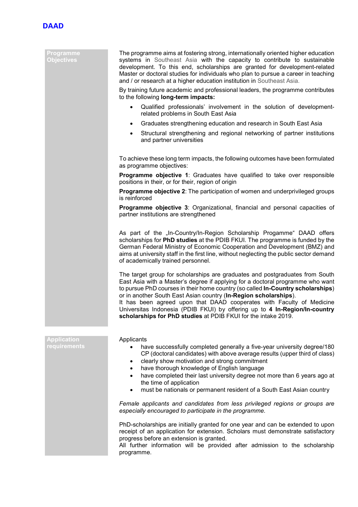

### Programme **Objectives**

 The programme aims at fostering strong, internationally oriented higher education systems in Southeast Asia with the capacity to contribute to sustainable development. To this end, scholarships are granted for development-related Master or doctoral studies for individuals who plan to pursue a career in teaching and / or research at a higher education institution in Southeast Asia.

By training future academic and professional leaders, the programme contributes to the following long-term impacts:

- Qualified professionals' involvement in the solution of developmentrelated problems in South East Asia
- Graduates strengthening education and research in South East Asia
- Structural strengthening and regional networking of partner institutions and partner universities

To achieve these long term impacts, the following outcomes have been formulated as programme objectives:

**Programme objective 1:** Graduates have qualified to take over responsible positions in their, or for their, region of origin

**Programme objective 2:** The participation of women and underprivileged groups is reinforced

Programme objective 3: Organizational, financial and personal capacities of partner institutions are strengthened

As part of the "In-Country/In-Region Scholarship Progamme" DAAD offers scholarships for PhD studies at the PDIB FKUI. The programme is funded by the German Federal Ministry of Economic Cooperation and Development (BMZ) and aims at university staff in the first line, without neglecting the public sector demand of academically trained personnel.

The target group for scholarships are graduates and postgraduates from South East Asia with a Master's degree if applying for a doctoral programme who want to pursue PhD courses in their home country (so called In-Country scholarships) or in another South East Asian country (In-Region scholarships).

It has been agreed upon that DAAD cooperates with Faculty of Medicine Universitas Indonesia (PDIB FKUI) by offering up to 4 In-Region/In-country scholarships for PhD studies at PDIB FKUI for the intake 2019.

| <b>Application</b><br><b>requirements</b> | Applicants<br>have successfully completed generally a five-year university degree/180<br>CP (doctoral candidates) with above average results (upper third of class)<br>clearly show motivation and strong commitment<br>have thorough knowledge of English language<br>have completed their last university degree not more than 6 years ago at<br>the time of application<br>must be nationals or permanent resident of a South East Asian country<br>$\bullet$ |
|-------------------------------------------|------------------------------------------------------------------------------------------------------------------------------------------------------------------------------------------------------------------------------------------------------------------------------------------------------------------------------------------------------------------------------------------------------------------------------------------------------------------|
|                                           | Female applicants and candidates from less privileged regions or groups are<br>especially encouraged to participate in the programme.                                                                                                                                                                                                                                                                                                                            |
|                                           | PhD-scholarships are initially granted for one year and can be extended to upon<br>receipt of an application for extension. Scholars must demonstrate satisfactory<br>progress before an extension is granted.<br>All further information will be provided after admission to the scholarship<br>programme.                                                                                                                                                      |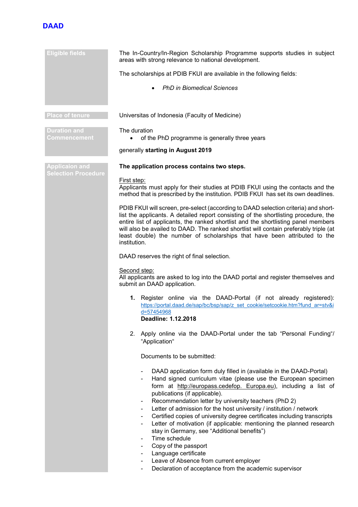## **DAAD**

| <b>Eligible fields</b>              | The In-Country/In-Region Scholarship Programme supports studies in subject<br>areas with strong relevance to national development.                                                                                                                                                                                                                                                                                                                                                                                                                                                                                                                                                                                                                                                                                                 |
|-------------------------------------|------------------------------------------------------------------------------------------------------------------------------------------------------------------------------------------------------------------------------------------------------------------------------------------------------------------------------------------------------------------------------------------------------------------------------------------------------------------------------------------------------------------------------------------------------------------------------------------------------------------------------------------------------------------------------------------------------------------------------------------------------------------------------------------------------------------------------------|
|                                     | The scholarships at PDIB FKUI are available in the following fields:                                                                                                                                                                                                                                                                                                                                                                                                                                                                                                                                                                                                                                                                                                                                                               |
|                                     | <b>PhD in Biomedical Sciences</b>                                                                                                                                                                                                                                                                                                                                                                                                                                                                                                                                                                                                                                                                                                                                                                                                  |
| <b>Place of tenure</b>              | Universitas of Indonesia (Faculty of Medicine)                                                                                                                                                                                                                                                                                                                                                                                                                                                                                                                                                                                                                                                                                                                                                                                     |
| <b>Duration and</b><br>Commencement | The duration<br>of the PhD programme is generally three years                                                                                                                                                                                                                                                                                                                                                                                                                                                                                                                                                                                                                                                                                                                                                                      |
|                                     | generally starting in August 2019                                                                                                                                                                                                                                                                                                                                                                                                                                                                                                                                                                                                                                                                                                                                                                                                  |
| <b>Applicaion and</b>               | The application process contains two steps.                                                                                                                                                                                                                                                                                                                                                                                                                                                                                                                                                                                                                                                                                                                                                                                        |
| <b>Selection Procedure</b>          | First step:<br>Applicants must apply for their studies at PDIB FKUI using the contacts and the<br>method that is prescribed by the institution. PDIB FKUI has set its own deadlines.                                                                                                                                                                                                                                                                                                                                                                                                                                                                                                                                                                                                                                               |
|                                     | PDIB FKUI will screen, pre-select (according to DAAD selection criteria) and short-<br>list the applicants. A detailed report consisting of the shortlisting procedure, the<br>entire list of applicants, the ranked shortlist and the shortlisting panel members<br>will also be availed to DAAD. The ranked shortlist will contain preferably triple (at<br>least double) the number of scholarships that have been attributed to the<br>institution.                                                                                                                                                                                                                                                                                                                                                                            |
|                                     | DAAD reserves the right of final selection.                                                                                                                                                                                                                                                                                                                                                                                                                                                                                                                                                                                                                                                                                                                                                                                        |
|                                     | Second step:<br>All applicants are asked to log into the DAAD portal and register themselves and<br>submit an DAAD application.                                                                                                                                                                                                                                                                                                                                                                                                                                                                                                                                                                                                                                                                                                    |
|                                     | 1. Register online via the DAAD-Portal (if not already registered):<br>https://portal.daad.de/sap/bc/bsp/sap/z set cookie/setcookie.htm?fund ar=stv&i<br>d=57454968<br><b>Deadline: 1.12.2018</b>                                                                                                                                                                                                                                                                                                                                                                                                                                                                                                                                                                                                                                  |
|                                     | Apply online via the DAAD-Portal under the tab "Personal Funding"/<br>2.<br>"Application"                                                                                                                                                                                                                                                                                                                                                                                                                                                                                                                                                                                                                                                                                                                                          |
|                                     | Documents to be submitted:                                                                                                                                                                                                                                                                                                                                                                                                                                                                                                                                                                                                                                                                                                                                                                                                         |
|                                     | DAAD application form duly filled in (available in the DAAD-Portal)<br>$\overline{\phantom{a}}$<br>Hand signed curriculum vitae (please use the European specimen<br>form at http://europass.cedefop. Europa.eu), including a list of<br>publications (if applicable).<br>Recommendation letter by university teachers (PhD 2)<br>Letter of admission for the host university / institution / network<br>Certified copies of university degree certificates including transcripts<br>-<br>Letter of motivation (if applicable: mentioning the planned research<br>۰<br>stay in Germany, see "Additional benefits")<br>Time schedule<br>۰<br>Copy of the passport<br>۰<br>Language certificate<br>۰<br>Leave of Absence from current employer<br>Declaration of acceptance from the academic supervisor<br>$\overline{\phantom{a}}$ |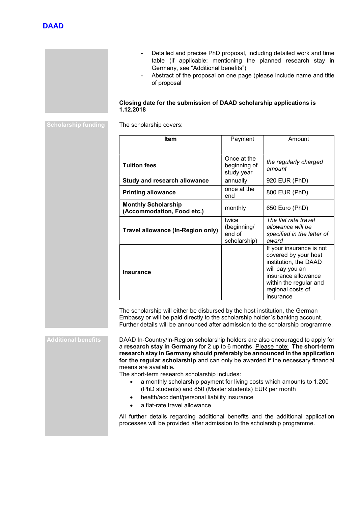- Detailed and precise PhD proposal, including detailed work and time table (if applicable: mentioning the planned research stay in Germany, see "Additional benefits")
- Abstract of the proposal on one page (please include name and title of proposal

## Closing date for the submission of DAAD scholarship applications is 1.12.2018

Scholarship funding The scholarship covers:

| <b>Item</b>                                              | Payment                                        | Amount                                                                                                                                                                          |
|----------------------------------------------------------|------------------------------------------------|---------------------------------------------------------------------------------------------------------------------------------------------------------------------------------|
|                                                          |                                                |                                                                                                                                                                                 |
| <b>Tuition fees</b>                                      | Once at the<br>beginning of<br>study year      | the regularly charged<br>amount                                                                                                                                                 |
| <b>Study and research allowance</b>                      | annually                                       | 920 EUR (PhD)                                                                                                                                                                   |
| <b>Printing allowance</b>                                | once at the<br>end                             | 800 EUR (PhD)                                                                                                                                                                   |
| <b>Monthly Scholarship</b><br>(Accommodation, Food etc.) | monthly                                        | 650 Euro (PhD)                                                                                                                                                                  |
| Travel allowance (In-Region only)                        | twice<br>(beginning/<br>end of<br>scholarship) | The flat rate travel<br>allowance will be<br>specified in the letter of<br>award                                                                                                |
| <b>Insurance</b>                                         |                                                | If your insurance is not<br>covered by your host<br>institution, the DAAD<br>will pay you an<br>insurance allowance<br>within the regular and<br>regional costs of<br>insurance |

The scholarship will either be disbursed by the host institution, the German Embassy or will be paid directly to the scholarship holder´s banking account. Further details will be announced after admission to the scholarship programme.

Additional benefits DAAD In-Country/In-Region scholarship holders are also encouraged to apply for a research stay in Germany for 2 up to 6 months. Please note: The short-term research stay in Germany should preferably be announced in the application for the regular scholarship and can only be awarded if the necessary financial means are available.

The short-term research scholarship includes:

- a monthly scholarship payment for living costs which amounts to 1.200 (PhD students) and 850 (Master students) EUR per month
- health/accident/personal liability insurance
- a flat-rate travel allowance

All further details regarding additional benefits and the additional application processes will be provided after admission to the scholarship programme.